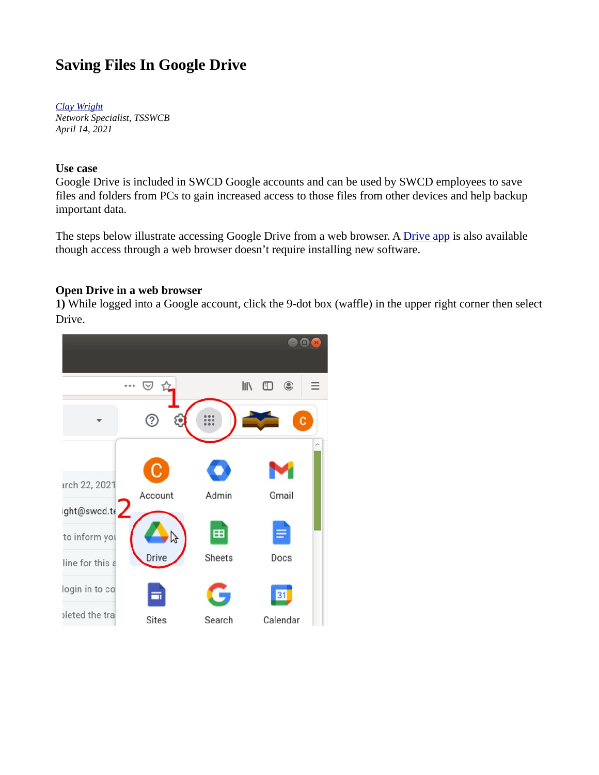# **Saving Files In Google Drive**

*[Clay Wright](mailto:cwright@tsswcb.texas.gov) Network Specialist, TSSWCB April 14, 2021*

### **Use case**

Google Drive is included in SWCD Google accounts and can be used by SWCD employees to save files and folders from PCs to gain increased access to those files from other devices and help backup important data.

The steps below illustrate accessing Google Drive from a web browser. A [Drive app](https://www.google.com/drive/download/) is also available though access through a web browser doesn't require installing new software.

### **Open Drive in a web browser**

**1)** While logged into a Google account, click the 9-dot box (waffle) in the upper right corner then select Drive.

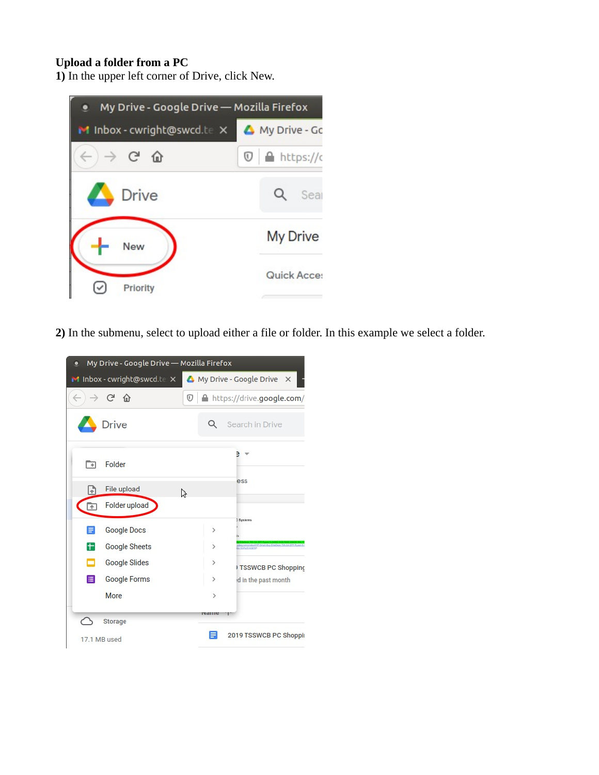## **Upload a folder from a PC**

**1)** In the upper left corner of Drive, click New.



**2)** In the submenu, select to upload either a file or folder. In this example we select a folder.

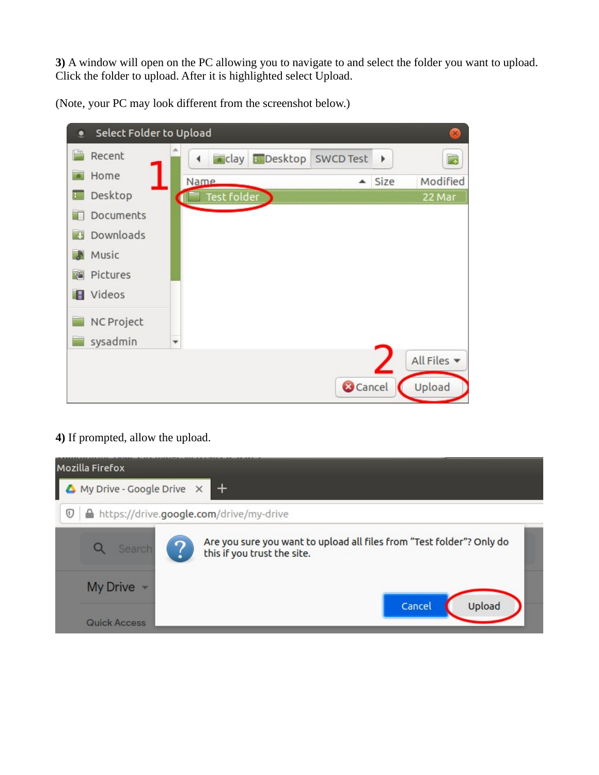**3)** A window will open on the PC allowing you to navigate to and select the folder you want to upload. Click the folder to upload. After it is highlighted select Upload.

(Note, your PC may look different from the screenshot below.)

| Select Folder to Upload<br>۰ |                          |               |         |                 |      | $\times$    |
|------------------------------|--------------------------|---------------|---------|-----------------|------|-------------|
| $\mathbb{H}$<br>Recent       | ◀                        | <b>*</b> clay | Desktop | SWCD Test       | Þ    | r,          |
| Home                         | Name                     |               |         | ▲               | Size | Modified    |
| Desktop<br>F                 |                          | Test folder   |         |                 |      | 22 Mar      |
| Documents                    |                          |               |         |                 |      |             |
| Downloads<br>專               |                          |               |         |                 |      |             |
| Music                        |                          |               |         |                 |      |             |
| Pictures<br>碷                |                          |               |         |                 |      |             |
| Videos<br>Ħ                  |                          |               |         |                 |      |             |
| NC Project                   |                          |               |         |                 |      |             |
| sysadmin                     | $\overline{\phantom{a}}$ |               |         |                 |      |             |
|                              |                          |               |         |                 |      | All Files v |
|                              |                          |               |         | <b>O</b> Cancel |      | Upload      |

# **4)** If prompted, allow the upload.

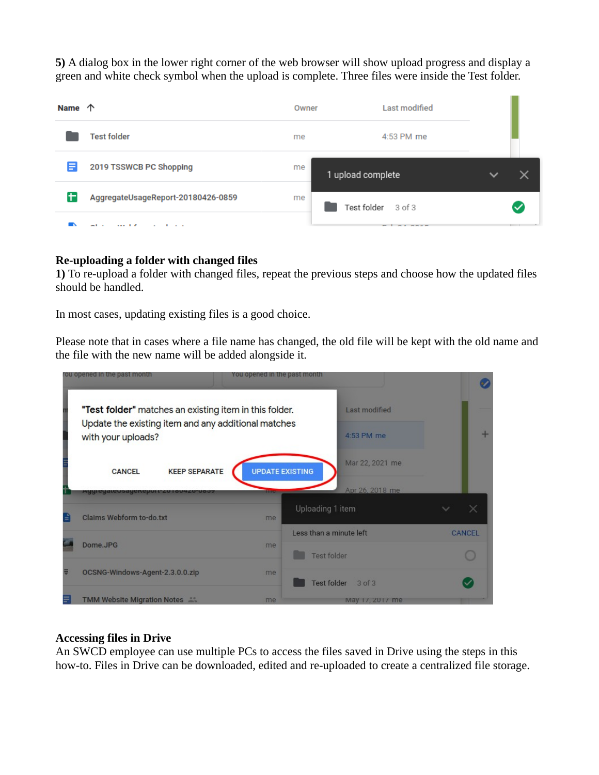**5)** A dialog box in the lower right corner of the web browser will show upload progress and display a green and white check symbol when the upload is complete. Three files were inside the Test folder.

| Name 个 |                                                       | Owner | Last modified               |  |  |
|--------|-------------------------------------------------------|-------|-----------------------------|--|--|
|        | <b>Test folder</b>                                    | me    | 4:53 PM me                  |  |  |
| Ε      | 2019 TSSWCB PC Shopping                               | me    | 1 upload complete           |  |  |
| lt.    | AggregateUsageReport-20180426-0859                    | me    | Test folder 3 of 3          |  |  |
|        | - -<br>$1.11 \pm 0.00$<br>$\sim$ $\sim$ $\sim$ $\sim$ |       | $-1$<br>$A$ $A$ $B$ $A$ $B$ |  |  |

### **Re-uploading a folder with changed files**

**1)** To re-upload a folder with changed files, repeat the previous steps and choose how the updated files should be handled.

In most cases, updating existing files is a good choice.

Please note that in cases where a file name has changed, the old file will be kept with the old name and the file with the new name will be added alongside it.



### **Accessing files in Drive**

An SWCD employee can use multiple PCs to access the files saved in Drive using the steps in this how-to. Files in Drive can be downloaded, edited and re-uploaded to create a centralized file storage.